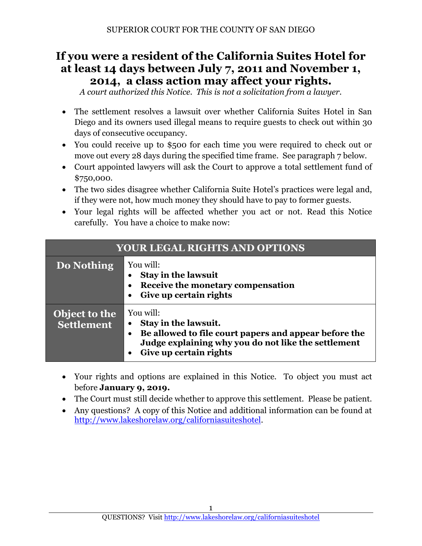# **If you were a resident of the California Suites Hotel for at least 14 days between July 7, 2011 and November 1, 2014, a class action may affect your rights.**

*A court authorized this Notice. This is not a solicitation from a lawyer.*

- The settlement resolves a lawsuit over whether California Suites Hotel in San Diego and its owners used illegal means to require guests to check out within 30 days of consecutive occupancy.
- You could receive up to \$500 for each time you were required to check out or move out every 28 days during the specified time frame. See paragraph 7 below.
- Court appointed lawyers will ask the Court to approve a total settlement fund of \$750,000.
- The two sides disagree whether California Suite Hotel's practices were legal and, if they were not, how much money they should have to pay to former guests.
- Your legal rights will be affected whether you act or not. Read this Notice carefully. You have a choice to make now:

| <b>YOUR LEGAL RIGHTS AND OPTIONS</b> |                                                                                                                                                                                          |  |
|--------------------------------------|------------------------------------------------------------------------------------------------------------------------------------------------------------------------------------------|--|
| Do Nothing                           | You will:<br><b>Stay in the lawsuit</b><br>Receive the monetary compensation<br>Give up certain rights                                                                                   |  |
| Object to the<br><b>Settlement</b>   | You will:<br>Stay in the lawsuit.<br>Be allowed to file court papers and appear before the<br>$\bullet$<br>Judge explaining why you do not like the settlement<br>Give up certain rights |  |

- Your rights and options are explained in this Notice. To object you must act before **January 9, 2019.**
- The Court must still decide whether to approve this settlement. Please be patient.
- Any questions? A copy of this Notice and additional information can be found at [http://www.lakeshorelaw.org/c](http://www.lakeshorelaw.org/)aliforniasuiteshotel.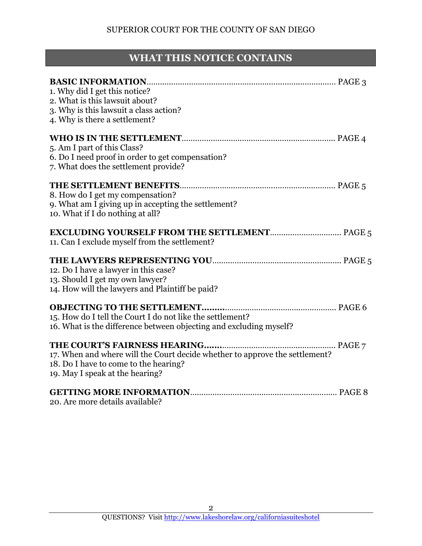# **WHAT THIS NOTICE CONTAINS**

| 1. Why did I get this notice?<br>2. What is this lawsuit about?<br>3. Why is this lawsuit a class action?<br>4. Why is there a settlement?              |
|---------------------------------------------------------------------------------------------------------------------------------------------------------|
| 5. Am I part of this Class?<br>6. Do I need proof in order to get compensation?<br>7. What does the settlement provide?                                 |
| 8. How do I get my compensation?<br>9. What am I giving up in accepting the settlement?<br>10. What if I do nothing at all?                             |
| 11. Can I exclude myself from the settlement?                                                                                                           |
| 12. Do I have a lawyer in this case?<br>13. Should I get my own lawyer?<br>14. How will the lawyers and Plaintiff be paid?                              |
| 15. How do I tell the Court I do not like the settlement?<br>16. What is the difference between objecting and excluding myself?                         |
| 17. When and where will the Court decide whether to approve the settlement?<br>18. Do I have to come to the hearing?<br>19. May I speak at the hearing? |
| 20. Are more details available?                                                                                                                         |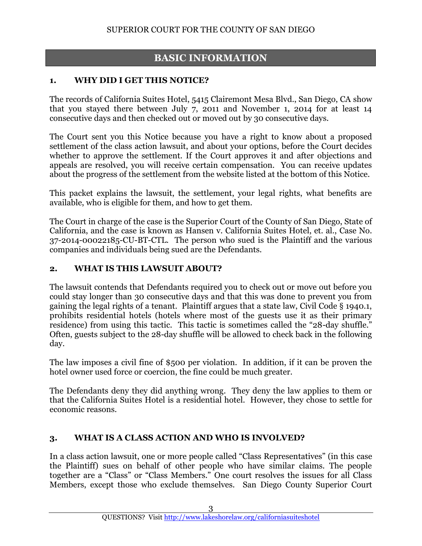# **BASIC INFORMATION**

#### **1. WHY DID I GET THIS NOTICE?**

The records of California Suites Hotel, 5415 Clairemont Mesa Blvd., San Diego, CA show that you stayed there between July 7, 2011 and November 1, 2014 for at least 14 consecutive days and then checked out or moved out by 30 consecutive days.

The Court sent you this Notice because you have a right to know about a proposed settlement of the class action lawsuit, and about your options, before the Court decides whether to approve the settlement. If the Court approves it and after objections and appeals are resolved, you will receive certain compensation. You can receive updates about the progress of the settlement from the website listed at the bottom of this Notice.

This packet explains the lawsuit, the settlement, your legal rights, what benefits are available, who is eligible for them, and how to get them.

The Court in charge of the case is the Superior Court of the County of San Diego, State of California, and the case is known as Hansen v. California Suites Hotel, et. al., Case No. 37-2014-00022185-CU-BT-CTL. The person who sued is the Plaintiff and the various companies and individuals being sued are the Defendants.

#### **2. WHAT IS THIS LAWSUIT ABOUT?**

The lawsuit contends that Defendants required you to check out or move out before you could stay longer than 30 consecutive days and that this was done to prevent you from gaining the legal rights of a tenant. Plaintiff argues that a state law, Civil Code § 1940.1, prohibits residential hotels (hotels where most of the guests use it as their primary residence) from using this tactic. This tactic is sometimes called the "28-day shuffle." Often, guests subject to the 28-day shuffle will be allowed to check back in the following day.

The law imposes a civil fine of \$500 per violation. In addition, if it can be proven the hotel owner used force or coercion, the fine could be much greater.

The Defendants deny they did anything wrong. They deny the law applies to them or that the California Suites Hotel is a residential hotel. However, they chose to settle for economic reasons.

#### **3. WHAT IS A CLASS ACTION AND WHO IS INVOLVED?**

In a class action lawsuit, one or more people called "Class Representatives" (in this case the Plaintiff) sues on behalf of other people who have similar claims. The people together are a "Class" or "Class Members." One court resolves the issues for all Class Members, except those who exclude themselves. San Diego County Superior Court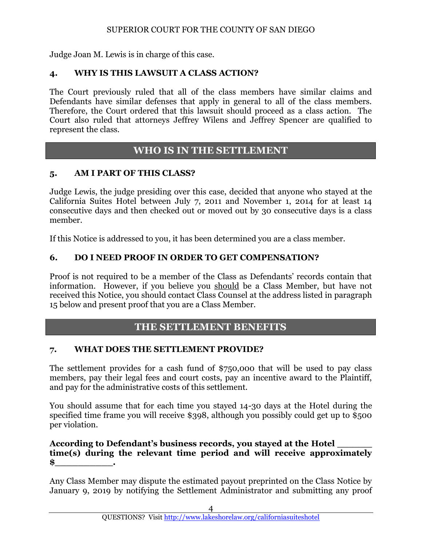Judge Joan M. Lewis is in charge of this case.

#### **4. WHY IS THIS LAWSUIT A CLASS ACTION?**

The Court previously ruled that all of the class members have similar claims and Defendants have similar defenses that apply in general to all of the class members. Therefore, the Court ordered that this lawsuit should proceed as a class action. The Court also ruled that attorneys Jeffrey Wilens and Jeffrey Spencer are qualified to represent the class.

# **WHO IS IN THE SETTLEMENT**

#### **5. AM I PART OF THIS CLASS?**

Judge Lewis, the judge presiding over this case, decided that anyone who stayed at the California Suites Hotel between July 7, 2011 and November 1, 2014 for at least 14 consecutive days and then checked out or moved out by 30 consecutive days is a class member.

If this Notice is addressed to you, it has been determined you are a class member.

### **6. DO I NEED PROOF IN ORDER TO GET COMPENSATION?**

Proof is not required to be a member of the Class as Defendants' records contain that information. However, if you believe you should be a Class Member, but have not received this Notice, you should contact Class Counsel at the address listed in paragraph 15 below and present proof that you are a Class Member.

# **THE SETTLEMENT BENEFITS**

#### **7. WHAT DOES THE SETTLEMENT PROVIDE?**

The settlement provides for a cash fund of \$750,000 that will be used to pay class members, pay their legal fees and court costs, pay an incentive award to the Plaintiff, and pay for the administrative costs of this settlement.

You should assume that for each time you stayed 14-30 days at the Hotel during the specified time frame you will receive \$398, although you possibly could get up to \$500 per violation.

#### **According to Defendant's business records, you stayed at the Hotel \_\_\_\_\_\_ time(s) during the relevant time period and will receive approximately \$\_\_\_\_\_\_\_\_\_\_.**

Any Class Member may dispute the estimated payout preprinted on the Class Notice by January 9, 2019 by notifying the Settlement Administrator and submitting any proof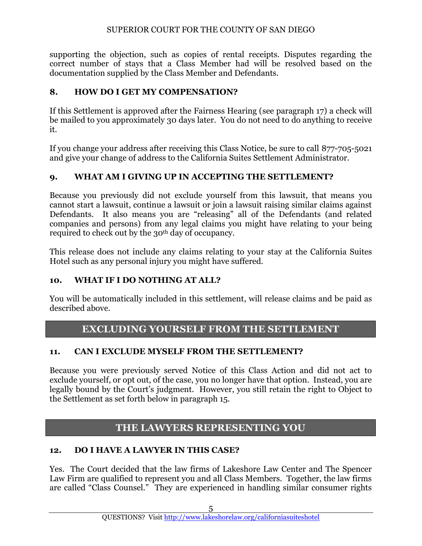supporting the objection, such as copies of rental receipts. Disputes regarding the correct number of stays that a Class Member had will be resolved based on the documentation supplied by the Class Member and Defendants.

# **8. HOW DO I GET MY COMPENSATION?**

If this Settlement is approved after the Fairness Hearing (see paragraph 17) a check will be mailed to you approximately 30 days later. You do not need to do anything to receive it.

If you change your address after receiving this Class Notice, be sure to call 877-705-5021 and give your change of address to the California Suites Settlement Administrator.

## **9. WHAT AM I GIVING UP IN ACCEPTING THE SETTLEMENT?**

Because you previously did not exclude yourself from this lawsuit, that means you cannot start a lawsuit, continue a lawsuit or join a lawsuit raising similar claims against Defendants. It also means you are "releasing" all of the Defendants (and related companies and persons) from any legal claims you might have relating to your being required to check out by the 30<sup>th</sup> day of occupancy.

This release does not include any claims relating to your stay at the California Suites Hotel such as any personal injury you might have suffered.

## **10. WHAT IF I DO NOTHING AT ALL?**

You will be automatically included in this settlement, will release claims and be paid as described above.

# **EXCLUDING YOURSELF FROM THE SETTLEMENT**

#### **11. CAN I EXCLUDE MYSELF FROM THE SETTLEMENT?**

Because you were previously served Notice of this Class Action and did not act to exclude yourself, or opt out, of the case, you no longer have that option. Instead, you are legally bound by the Court's judgment. However, you still retain the right to Object to the Settlement as set forth below in paragraph 15.

# **THE LAWYERS REPRESENTING YOU**

## **12. DO I HAVE A LAWYER IN THIS CASE?**

Yes. The Court decided that the law firms of Lakeshore Law Center and The Spencer Law Firm are qualified to represent you and all Class Members. Together, the law firms are called "Class Counsel." They are experienced in handling similar consumer rights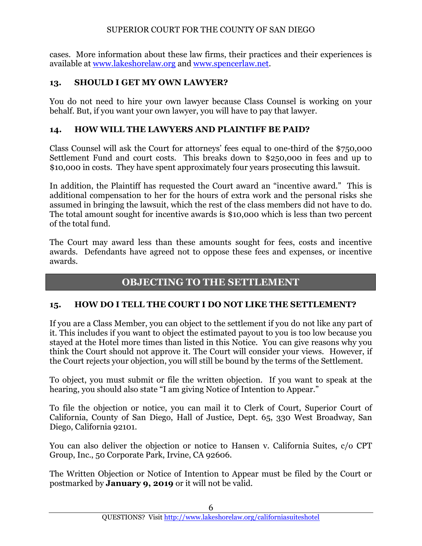cases. More information about these law firms, their practices and their experiences is available at [www.lakeshorelaw.org](http://www.lakeshorelaw.org/) and [www.spencerlaw.net.](http://www.spencerlaw.net/)

## **13. SHOULD I GET MY OWN LAWYER?**

You do not need to hire your own lawyer because Class Counsel is working on your behalf. But, if you want your own lawyer, you will have to pay that lawyer.

### **14. HOW WILL THE LAWYERS AND PLAINTIFF BE PAID?**

Class Counsel will ask the Court for attorneys' fees equal to one-third of the \$750,000 Settlement Fund and court costs. This breaks down to \$250,000 in fees and up to \$10,000 in costs. They have spent approximately four years prosecuting this lawsuit.

In addition, the Plaintiff has requested the Court award an "incentive award." This is additional compensation to her for the hours of extra work and the personal risks she assumed in bringing the lawsuit, which the rest of the class members did not have to do. The total amount sought for incentive awards is \$10,000 which is less than two percent of the total fund.

The Court may award less than these amounts sought for fees, costs and incentive awards. Defendants have agreed not to oppose these fees and expenses, or incentive awards.

# **OBJECTING TO THE SETTLEMENT**

## **15. HOW DO I TELL THE COURT I DO NOT LIKE THE SETTLEMENT?**

If you are a Class Member, you can object to the settlement if you do not like any part of it. This includes if you want to object the estimated payout to you is too low because you stayed at the Hotel more times than listed in this Notice. You can give reasons why you think the Court should not approve it. The Court will consider your views. However, if the Court rejects your objection, you will still be bound by the terms of the Settlement.

To object, you must submit or file the written objection. If you want to speak at the hearing, you should also state "I am giving Notice of Intention to Appear."

To file the objection or notice, you can mail it to Clerk of Court, Superior Court of California, County of San Diego, Hall of Justice, Dept. 65, 330 West Broadway, San Diego, California 92101.

You can also deliver the objection or notice to Hansen v. California Suites, c/o CPT Group, Inc., 50 Corporate Park, Irvine, CA 92606.

The Written Objection or Notice of Intention to Appear must be filed by the Court or postmarked by **January 9, 2019** or it will not be valid.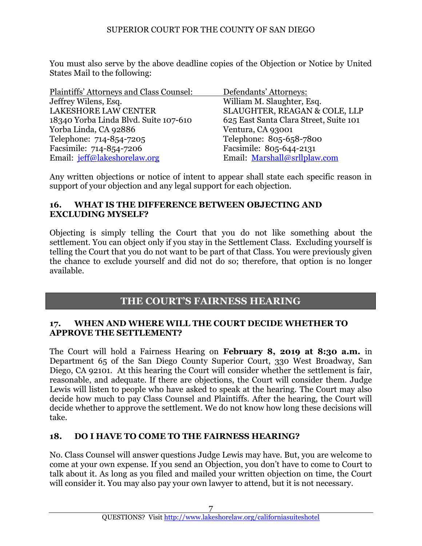You must also serve by the above deadline copies of the Objection or Notice by United States Mail to the following:

| Plaintiffs' Attorneys and Class Counsel: | Defendants' Attorneys:                 |
|------------------------------------------|----------------------------------------|
| Jeffrey Wilens, Esq.                     | William M. Slaughter, Esq.             |
| <b>LAKESHORE LAW CENTER</b>              | SLAUGHTER, REAGAN & COLE, LLP          |
| 18340 Yorba Linda Blvd. Suite 107-610    | 625 East Santa Clara Street, Suite 101 |
| Yorba Linda, CA 92886                    | Ventura, CA 93001                      |
| Telephone: 714-854-7205                  | Telephone: 805-658-7800                |
| Facsimile: 714-854-7206                  | Facsimile: 805-644-2131                |
| Email: jeff@lakeshorelaw.org             | Email: Marshall@srllplaw.com           |

Any written objections or notice of intent to appear shall state each specific reason in support of your objection and any legal support for each objection.

#### **16. WHAT IS THE DIFFERENCE BETWEEN OBJECTING AND EXCLUDING MYSELF?**

Objecting is simply telling the Court that you do not like something about the settlement. You can object only if you stay in the Settlement Class. Excluding yourself is telling the Court that you do not want to be part of that Class. You were previously given the chance to exclude yourself and did not do so; therefore, that option is no longer available.

# **THE COURT'S FAIRNESS HEARING**

#### **17. WHEN AND WHERE WILL THE COURT DECIDE WHETHER TO APPROVE THE SETTLEMENT?**

The Court will hold a Fairness Hearing on **February 8, 2019 at 8:30 a.m.** in Department 65 of the San Diego County Superior Court, 330 West Broadway, San Diego, CA 92101. At this hearing the Court will consider whether the settlement is fair, reasonable, and adequate. If there are objections, the Court will consider them. Judge Lewis will listen to people who have asked to speak at the hearing. The Court may also decide how much to pay Class Counsel and Plaintiffs. After the hearing, the Court will decide whether to approve the settlement. We do not know how long these decisions will take.

## **18. DO I HAVE TO COME TO THE FAIRNESS HEARING?**

No. Class Counsel will answer questions Judge Lewis may have. But, you are welcome to come at your own expense. If you send an Objection, you don't have to come to Court to talk about it. As long as you filed and mailed your written objection on time, the Court will consider it. You may also pay your own lawyer to attend, but it is not necessary.